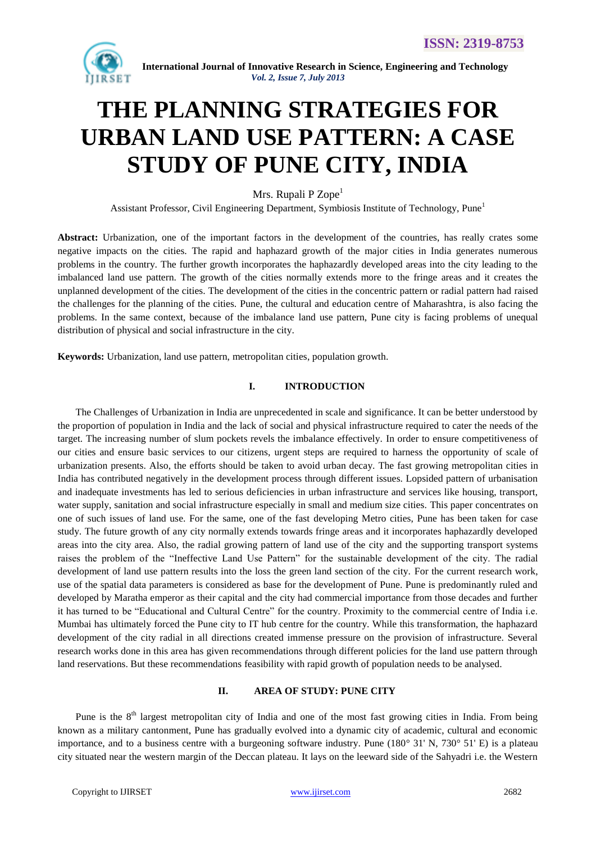

# **THE PLANNING STRATEGIES FOR URBAN LAND USE PATTERN: A CASE STUDY OF PUNE CITY, INDIA**

Mrs. Rupali P  $Zope<sup>1</sup>$ 

Assistant Professor, Civil Engineering Department, Symbiosis Institute of Technology, Pune<sup>1</sup>

**Abstract:** Urbanization, one of the important factors in the development of the countries, has really crates some negative impacts on the cities. The rapid and haphazard growth of the major cities in India generates numerous problems in the country. The further growth incorporates the haphazardly developed areas into the city leading to the imbalanced land use pattern. The growth of the cities normally extends more to the fringe areas and it creates the unplanned development of the cities. The development of the cities in the concentric pattern or radial pattern had raised the challenges for the planning of the cities. Pune, the cultural and education centre of Maharashtra, is also facing the problems. In the same context, because of the imbalance land use pattern, Pune city is facing problems of unequal distribution of physical and social infrastructure in the city.

**Keywords:** Urbanization, land use pattern, metropolitan cities, population growth.

#### **I. INTRODUCTION**

The Challenges of Urbanization in India are unprecedented in scale and significance. It can be better understood by the proportion of population in India and the lack of social and physical infrastructure required to cater the needs of the target. The increasing number of slum pockets revels the imbalance effectively. In order to ensure competitiveness of our cities and ensure basic services to our citizens, urgent steps are required to harness the opportunity of scale of urbanization presents. Also, the efforts should be taken to avoid urban decay. The fast growing metropolitan cities in India has contributed negatively in the development process through different issues. Lopsided pattern of urbanisation and inadequate investments has led to serious deficiencies in urban infrastructure and services like housing, transport, water supply, sanitation and social infrastructure especially in small and medium size cities. This paper concentrates on one of such issues of land use. For the same, one of the fast developing Metro cities, Pune has been taken for case study. The future growth of any city normally extends towards fringe areas and it incorporates haphazardly developed areas into the city area. Also, the radial growing pattern of land use of the city and the supporting transport systems raises the problem of the "Ineffective Land Use Pattern" for the sustainable development of the city. The radial development of land use pattern results into the loss the green land section of the city. For the current research work, use of the spatial data parameters is considered as base for the development of Pune. Pune is predominantly ruled and developed by Maratha emperor as their capital and the city had commercial importance from those decades and further it has turned to be "Educational and Cultural Centre" for the country. Proximity to the commercial centre of India i.e. Mumbai has ultimately forced the Pune city to IT hub centre for the country. While this transformation, the haphazard development of the city radial in all directions created immense pressure on the provision of infrastructure. Several research works done in this area has given recommendations through different policies for the land use pattern through land reservations. But these recommendations feasibility with rapid growth of population needs to be analysed.

#### **II. AREA OF STUDY: PUNE CITY**

Pune is the  $8<sup>th</sup>$  largest metropolitan city of India and one of the most fast growing cities in India. From being known as a military cantonment, Pune has gradually evolved into a dynamic city of academic, cultural and economic importance, and to a business centre with a burgeoning software industry. Pune (180° 31' N, 730° 51' E) is a plateau city situated near the western margin of the Deccan plateau. It lays on the leeward side of the Sahyadri i.e. the Western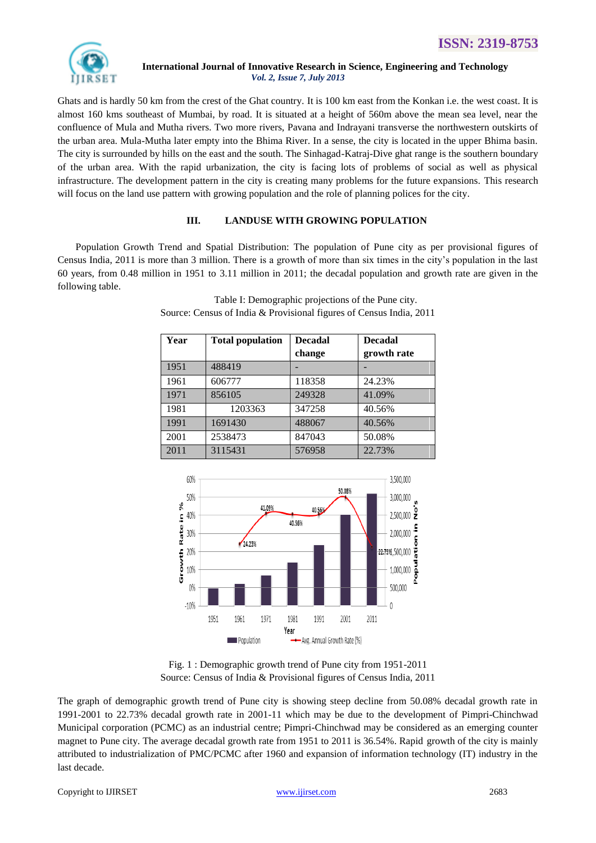

Ghats and is hardly 50 km from the crest of the Ghat country. It is 100 km east from the Konkan i.e. the west coast. It is almost 160 kms southeast of Mumbai, by road. It is situated at a height of 560m above the mean sea level, near the confluence of Mula and Mutha rivers. Two more rivers, Pavana and Indrayani transverse the northwestern outskirts of the urban area. Mula-Mutha later empty into the Bhima River. In a sense, the city is located in the upper Bhima basin. The city is surrounded by hills on the east and the south. The Sinhagad-Katraj-Dive ghat range is the southern boundary of the urban area. With the rapid urbanization, the city is facing lots of problems of social as well as physical infrastructure. The development pattern in the city is creating many problems for the future expansions. This research will focus on the land use pattern with growing population and the role of planning polices for the city.

# **III. LANDUSE WITH GROWING POPULATION**

Population Growth Trend and Spatial Distribution: The population of Pune city as per provisional figures of Census India, 2011 is more than 3 million. There is a growth of more than six times in the city's population in the last 60 years, from 0.48 million in 1951 to 3.11 million in 2011; the decadal population and growth rate are given in the following table.

| Year | <b>Total population</b> | <b>Decadal</b> | <b>Decadal</b> |
|------|-------------------------|----------------|----------------|
|      |                         | change         | growth rate    |
| 1951 | 488419                  |                |                |
| 1961 | 606777                  | 118358         | 24.23%         |
| 1971 | 856105                  | 249328         | 41.09%         |
| 1981 | 1203363                 | 347258         | 40.56%         |
| 1991 | 1691430                 | 488067         | 40.56%         |
| 2001 | 2538473                 | 847043         | 50.08%         |
| 2011 | 3115431                 | 576958         | 22.73%         |

Table I: Demographic projections of the Pune city. Source: Census of India & Provisional figures of Census India, 2011



Fig. 1 : Demographic growth trend of Pune city from 1951-2011 Source: Census of India & Provisional figures of Census India, 2011

The graph of demographic growth trend of Pune city is showing steep decline from 50.08% decadal growth rate in 1991-2001 to 22.73% decadal growth rate in 2001-11 which may be due to the development of Pimpri-Chinchwad Municipal corporation (PCMC) as an industrial centre; Pimpri-Chinchwad may be considered as an emerging counter magnet to Pune city. The average decadal growth rate from 1951 to 2011 is 36.54%. Rapid growth of the city is mainly attributed to industrialization of PMC/PCMC after 1960 and expansion of information technology (IT) industry in the last decade.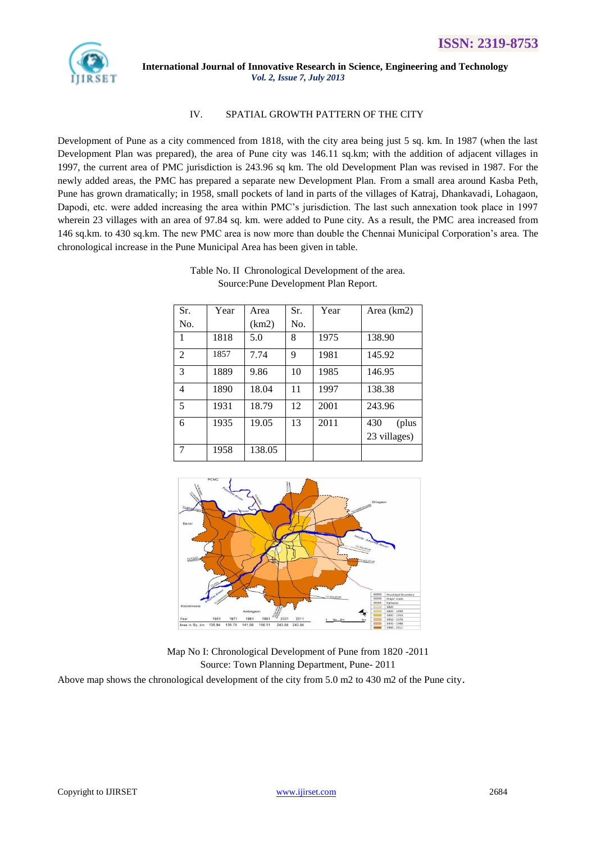

### IV. SPATIAL GROWTH PATTERN OF THE CITY

Development of Pune as a city commenced from 1818, with the city area being just 5 sq. km. In 1987 (when the last Development Plan was prepared), the area of Pune city was 146.11 sq.km; with the addition of adjacent villages in 1997, the current area of PMC jurisdiction is 243.96 sq km. The old Development Plan was revised in 1987. For the newly added areas, the PMC has prepared a separate new Development Plan. From a small area around Kasba Peth, Pune has grown dramatically; in 1958, small pockets of land in parts of the villages of Katraj, Dhankavadi, Lohagaon, Dapodi, etc. were added increasing the area within PMC's jurisdiction. The last such annexation took place in 1997 wherein 23 villages with an area of 97.84 sq. km. were added to Pune city. As a result, the PMC area increased from 146 sq.km. to 430 sq.km. The new PMC area is now more than double the Chennai Municipal Corporation's area. The chronological increase in the Pune Municipal Area has been given in table.

| Sr. | Year | Area   | Sr. | Year | Area (km2)   |
|-----|------|--------|-----|------|--------------|
| No. |      | (km2)  | No. |      |              |
| 1   | 1818 | 5.0    | 8   | 1975 | 138.90       |
| 2   | 1857 | 7.74   | 9   | 1981 | 145.92       |
| 3   | 1889 | 9.86   | 10  | 1985 | 146.95       |
| 4   | 1890 | 18.04  | 11  | 1997 | 138.38       |
| 5   | 1931 | 18.79  | 12  | 2001 | 243.96       |
| 6   | 1935 | 19.05  | 13  | 2011 | 430<br>(plus |
|     |      |        |     |      | 23 villages) |
| 7   | 1958 | 138.05 |     |      |              |





Map No I: Chronological Development of Pune from 1820 -2011 Source: Town Planning Department, Pune- 2011 Above map shows the chronological development of the city from 5.0 m2 to 430 m2 of the Pune city.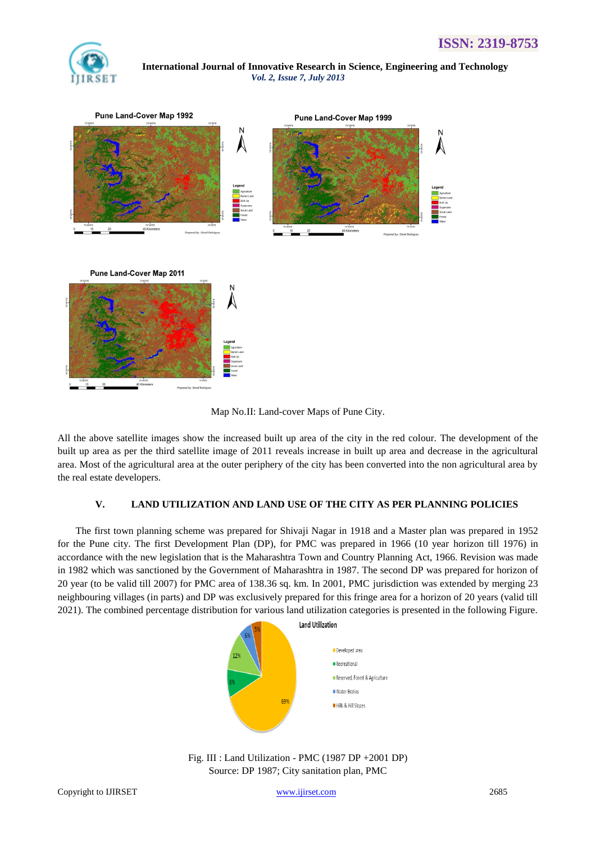



Map No.II: Land-cover Maps of Pune City.

All the above satellite images show the increased built up area of the city in the red colour. The development of the built up area as per the third satellite image of 2011 reveals increase in built up area and decrease in the agricultural area. Most of the agricultural area at the outer periphery of the city has been converted into the non agricultural area by the real estate developers.

#### **V. LAND UTILIZATION AND LAND USE OF THE CITY AS PER PLANNING POLICIES**

The first town planning scheme was prepared for Shivaji Nagar in 1918 and a Master plan was prepared in 1952 for the Pune city. The first Development Plan (DP), for PMC was prepared in 1966 (10 year horizon till 1976) in accordance with the new legislation that is the Maharashtra Town and Country Planning Act, 1966. Revision was made in 1982 which was sanctioned by the Government of Maharashtra in 1987. The second DP was prepared for horizon of 20 year (to be valid till 2007) for PMC area of 138.36 sq. km. In 2001, PMC jurisdiction was extended by merging 23 neighbouring villages (in parts) and DP was exclusively prepared for this fringe area for a horizon of 20 years (valid till 2021). The combined percentage distribution for various land utilization categories is presented in the following Figure.



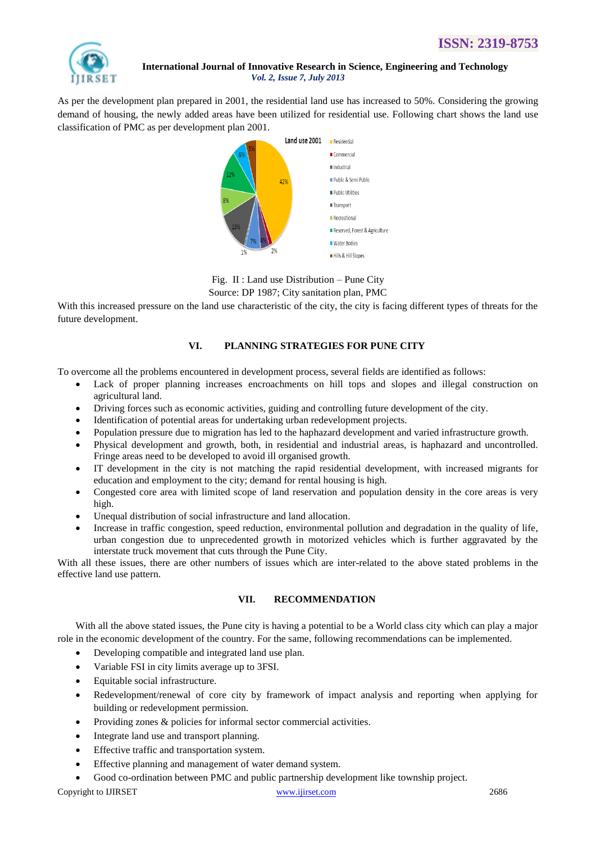

As per the development plan prepared in 2001, the residential land use has increased to 50%. Considering the growing demand of housing, the newly added areas have been utilized for residential use. Following chart shows the land use classification of PMC as per development plan 2001.



Fig. II : Land use Distribution – Pune City Source: DP 1987; City sanitation plan, PMC

With this increased pressure on the land use characteristic of the city, the city is facing different types of threats for the future development.

## **VI. PLANNING STRATEGIES FOR PUNE CITY**

To overcome all the problems encountered in development process, several fields are identified as follows:

- Lack of proper planning increases encroachments on hill tops and slopes and illegal construction on agricultural land.
- Driving forces such as economic activities, guiding and controlling future development of the city.
- Identification of potential areas for undertaking urban redevelopment projects.
- Population pressure due to migration has led to the haphazard development and varied infrastructure growth.
- Physical development and growth, both, in residential and industrial areas, is haphazard and uncontrolled. Fringe areas need to be developed to avoid ill organised growth.
- IT development in the city is not matching the rapid residential development, with increased migrants for education and employment to the city; demand for rental housing is high.
- Congested core area with limited scope of land reservation and population density in the core areas is very high.
- Unequal distribution of social infrastructure and land allocation.
- Increase in traffic congestion, speed reduction, environmental pollution and degradation in the quality of life, urban congestion due to unprecedented growth in motorized vehicles which is further aggravated by the interstate truck movement that cuts through the Pune City.

With all these issues, there are other numbers of issues which are inter-related to the above stated problems in the effective land use pattern.

#### **VII. RECOMMENDATION**

With all the above stated issues, the Pune city is having a potential to be a World class city which can play a major role in the economic development of the country. For the same, following recommendations can be implemented.

- Developing compatible and integrated land use plan.
- Variable FSI in city limits average up to 3FSI.
- Equitable social infrastructure.
- Redevelopment/renewal of core city by framework of impact analysis and reporting when applying for building or redevelopment permission.
- Providing zones & policies for informal sector commercial activities.
- Integrate land use and transport planning.
- Effective traffic and transportation system.
- Effective planning and management of water demand system.
- Good co-ordination between PMC and public partnership development like township project.

Copyright to IJIRSET [www.ijirset.com](http://www.ijirset.com/) 2686